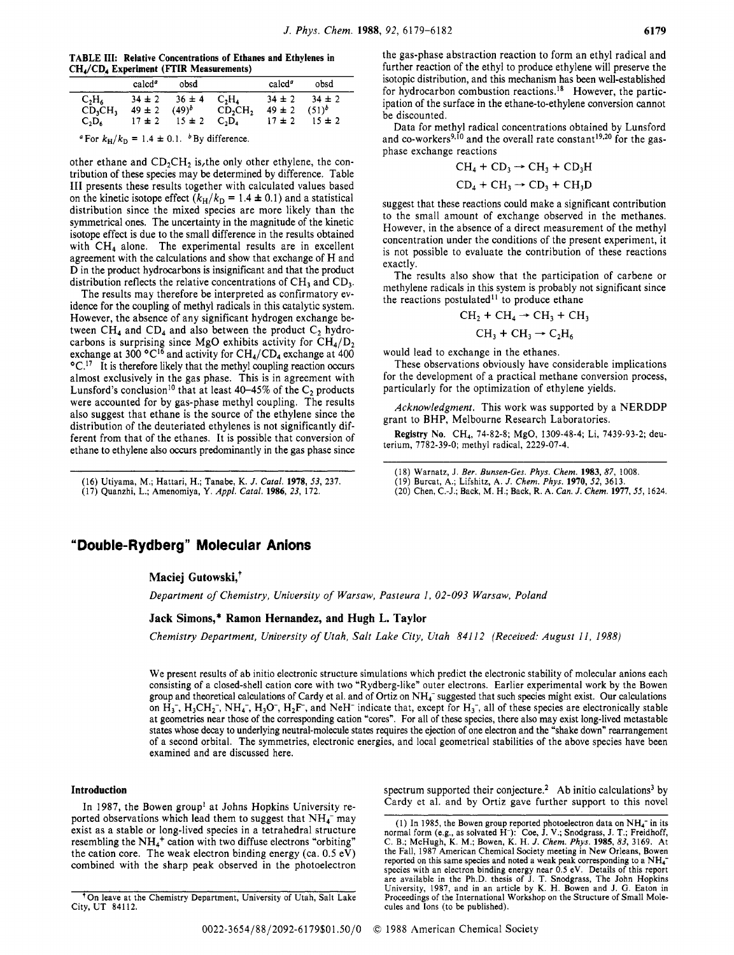**TABLE 111: Relative Concentrations of Ethanes and Ethylenes in CHA/CDA ExDeriment (FI'IR Measurements)** 

|          | calcd <sup>a</sup> | obsd       |                                 | $cal^{\alpha}$ | obsd       |
|----------|--------------------|------------|---------------------------------|----------------|------------|
| $C_2H_6$ | $34 \pm 2$         | $36 \pm 4$ | $C_2H_4$                        | $34 \pm 2$     | $34 \pm 2$ |
| CD,CH,   | $49 \pm 2$         | $(49)^b$   | CD <sub>2</sub> CH <sub>2</sub> | $49 \pm 2$     | $(51)^b$   |
| $C_2D_6$ | $17 \pm 2$         | $15 = 2$   | $C_2D_4$                        | $17 \pm 2$     | $15 \pm 2$ |

<sup>*a*</sup> For  $k_H/k_D = 1.4 \pm 0.1$ . <sup>*b*</sup> By difference.

other ethane and  $CD_2CH_2$  is, the only other ethylene, the contribution of these species may be determined by difference. Table **111** presents these results together with calculated values based on the kinetic isotope effect  $(k_H/k_D = 1.4 \pm 0.1)$  and a statistical distribution since the mixed species are more likely than the symmetrical ones. The uncertainty in the magnitude of the kinetic isotope effect is due to the small difference in the results obtained with CH<sub>4</sub> alone. The experimental results are in excellent agreement with the calculations and show that exchange of H and D in the product hydrocarbons is insignificant and that the product distribution reflects the relative concentrations of  $CH<sub>3</sub>$  and  $CD<sub>3</sub>$ .

The results may therefore be interpreted as confirmatory evidence for the coupling of methyl radicals in this catalytic system. However, the absence of any significant hydrogen exchange between  $CH_4$  and  $CD_4$  and also between the product  $C_2$  hydrocarbons is surprising since MgO exhibits activity for  $\text{CH}_4/\text{D}_2$ exchange at 300  $^{\circ}C^{16}$  and activity for CH<sub>4</sub>/CD<sub>4</sub> exchange at 400  $\rm ^oC$ .<sup>17</sup> It is therefore likely that the methyl coupling reaction occurs almost exclusively in the gas phase. This is in agreement with Lunsford's conclusion<sup>10</sup> that at least 40-45% of the  $C_2$  products were accounted for by gas-phase methyl coupling. The results also suggest that ethane is the source of the ethylene since the distribution of the deuteriated ethylenes is not significantly different from that of the ethanes. It is possible that conversion of ethane to ethylene also occurs predominantly in the gas phase since

(16) Utiyama, M.; Hattari, H.; Tanabe, K. *J. Catal.* **1978, 53,** 237.

**(17)** Quanzhi, L.; Amenomiya, *Y. Appl.* Catal. **1986, 23,** 172.

the gas-phase abstraction reaction to form an ethyl radical and further reaction of the ethyl to produce ethylene will preserve the isotopic distribution, and this mechanism has been well-established for hydrocarbon combustion reactions.<sup>18</sup> However, the participation of the surface in the ethane-to-ethylene conversion cannot be discounted.

Data for methyl radical concentrations obtained by Lunsford and co-workers<sup>9,10</sup> and the overall rate constant<sup>19,20</sup> for the gasphase exchange reactions

$$
CH_4 + CD_3 \rightarrow CH_3 + CD_3H
$$
  

$$
CD_4 + CH_3 \rightarrow CD_3 + CH_3D
$$

suggest that these reactions could make a significant contribution to the small amount of exchange observed in the methanes. However, in the absence of a direct measurement of the methyl concentration under the conditions of the present experiment, it is not possible to evaluate the contribution of these reactions exactly.

The results also show that the participation of carbene or methylene radicals in this system is probably not significant since the reactions postulated $11$  to produce ethane

CH<sub>2</sub> + CH<sub>4</sub> 
$$
\rightarrow
$$
 CH<sub>3</sub> + CH<sub>3</sub>  
CH<sub>3</sub> + CH<sub>3</sub>  $\rightarrow$  C<sub>2</sub>H<sub>4</sub>

$$
C_{13} + C_{13} \rightarrow C_{2} \Pi_{6}
$$

would lead to exchange in the ethanes.

These observations obviously have considerable implications for the development of a practical methane conversion process, particularly for the optimization of ethylene yields.

*Acknowledgment.* This work was supported by a NERDDP grant to BHP, Melbourne Research Laboratories.

**Registry No.** CH4, 74-82-8; **MgO,** 1309-48-4; Li, 7439-93-2; deuterium, 7782-39-0; methyl radical, 2229-07-4.

**(20)** Chen, C.-J.; Back, M. H.; Back, R. A. *Can. J. Chem.* **1977,55,** 1624.

## **"Double-Rydberg" Molecular Anions**

## **Maciej Gutowski,+**

*Department of Chemistry, University of Warsaw, Pasteura 1, 02-093 Warsaw, Poland* 

## **Jack Simons,\* Ramon Hernandez, and Hugh L. Taylor**

*Chemistry Department, University of Utah, Salt Lake City, Utah 841 12 (Received: August 11, 1988)* 

We present results of ab initio electronic structure simulations which predict the electronic stability of molecular anions each consisting of a closed-shell cation core with two "Rydberg-like" outer electrons. Earlier experimental work by the Bowen group and theoretical calculations of Cardy et al. and of Ortiz on NH<sub>4</sub><sup>-</sup> suggested that such species might exist. Our calculations on H<sub>3</sub><sup>-</sup>, H<sub>3</sub>CH<sub>2</sub><sup>-</sup>, NH<sub>4</sub><sup>-</sup>, H<sub>3</sub>O<sup>-</sup>, H<sub>2</sub>F<sup>-</sup>, and NeH<sup>-</sup> indicate that, excep at geometries near those of the corresponding cation "cores". For all of these species, there also may exist long-lived metastable states whose decay to underlying neutral-molecule states requires the ejection of one electron and the "shake down" rearrangement of a second orbital. The symmetries, electronic energies, and local geometrical stabilities of the above species have been examined and are discussed here.

## Introduction

In 1987, the Bowen group<sup>1</sup> at Johns Hopkins University reported observations which lead them to suggest that  $NH_4^-$  may<br>exist as a stable or long-lived species in a tetrahedral structure<br>exist as a stable or long-lived species in a tetrahedral structure<br>normal form (e.g., as so the cation core. The weak electron binding energy (ca. *0.5* ev)

spectrum supported their conjecture.<sup>2</sup> Ab initio calculations<sup>3</sup> by Cardy et al. and by Ortiz gave further support to this novel

<sup>(18)</sup> Warnatz, **J.** *Ber. Bunsen-Ges. Phys. Chem.* **1983,** *87,* 1008.

<sup>(19)</sup> Burcat, A.; Lifshitz, A. *J. Chem. Phys.* **1970,** *52,* 3613.

<sup>&</sup>lt;sup>t</sup>On leave at the Chemistry Department, University of Utah, Salt Lake City, UT 84112.

resembling the NH<sub>4</sub><sup>+</sup> cation with two diffuse electrons "orbiting" C. B.; McHugh, K. M.; Bowen, K. H. J. Chem. Phys. 1985, 83, 3169. At<br>the cation core. The weak electron binding energy (ca. 0.5 eV) the Fall, 1987 Ameri species with an electron binding energy near 0.5 eV. Details of this report are available in the Ph.D. thesis of **J.** T. Sncdgrass, The John Hopkins University, 1987, and in an article by K. H. Bowen and J. *G.* Eaton **in**  Proceedings of the International Workshop on the Structure of Small Molecules and Ions (to be published).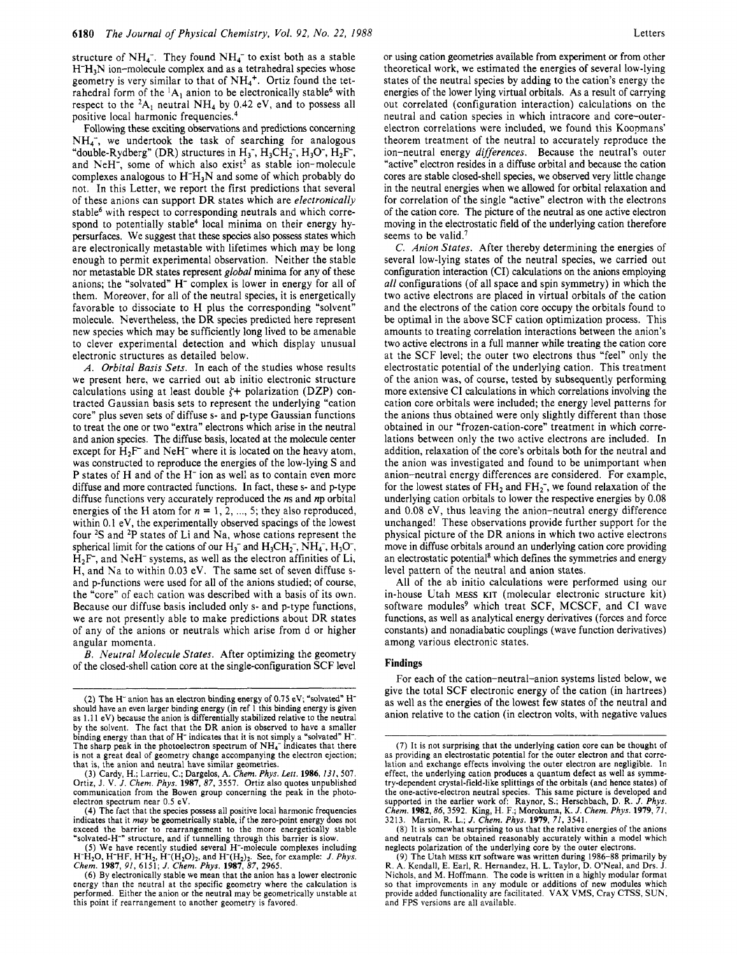structure of  $NH_4^-$ . They found  $NH_4^-$  to exist both as a stable  $H<sup>+</sup>H<sub>3</sub>N$  ion-molecule complex and as a tetrahedral species whose geometry is very similar to that of  $NH<sub>4</sub>$ <sup>+</sup>. Ortiz found the tetrahedral form of the  ${}^{1}A$ , anion to be electronically stable<sup>6</sup> with respect to the  ${}^{2}A_1$  neutral NH<sub>4</sub> by 0.42 eV, and to possess all positive local harmonic frequencies.<sup>4</sup>

Following these exciting observations and predictions concerning  $NH_4$ , we undertook the task of searching for analogous "double-Rydberg" (DR) structures in  $H_3$ ,  $H_3CH_2$ ,  $H_3O$ ,  $H_2F$ , and NeH<sup>-</sup>, some of which also exist<sup>5</sup> as stable ion-molecule complexes analogous to  $H^+H_3N$  and some of which probably do not. In this Letter, we report the first predictions that several of these anions can support DR states which are *electronically*  stable<sup>6</sup> with respect to corresponding neutrals and which correspond to potentially stable<sup>4</sup> local minima on their energy hypersurfaces. We suggest that these species also possess states which are electronically metastable with lifetimes which may be long enough to permit experimental observation. Neither the stable nor metastable DR states represent *global* minima for any of these anions; the "solvated" H<sup>-</sup> complex is lower in energy for all of them. Moreover, for all of the neutral species, it is energetically favorable to dissociate to H plus the corresponding "solvent" molecule. Nevertheless, the DR species predicted here represent new species which may be sufficiently long lived to be amenable to clever experimental detection and which display unusual electronic structures as detailed below.

*A. Orbital Basis Sets.* In each of the studies whose results we present here, we carried out ab initio electronic structure calculations using at least double  $\zeta$ + polarization (DZP) contracted Gaussian basis sets to represent the underlying "cation core" plus seven sets of diffuse **s-** and p-type Gaussian functions to treat the one or two "extra" electrons which arise in the neutral and anion species. The diffuse basis, located at the molecule center except for  $H_2F^-$  and NeH<sup>-</sup> where it is located on the heavy atom, was constructed to reproduce the energies of the low-lying S and P states of H and of the H<sup>-</sup> ion as well as to contain even more diffuse and more contracted functions. In fact, these s- and p-type diffuse functions very accurately reproduced the *ns* and **np** orbital energies of the H atom for  $n = 1, 2, ..., 5$ ; they also reproduced, within 0.1 eV, the experimentally observed spacings of the lowest four **2S** and **2P** states of Li and Na, whose cations represent the spherical limit for the cations of our  $H_3^-$  and  $H_3CH_2^-$ ,  $NH_4^-$ ,  $H_3O^-$ ,  $H_2F$ , and NeH<sup>-</sup> systems, as well as the electron affinities of Li, H, and Na to within 0.03 eV. The same set of seven diffuse sand p-functions were used for all of the anions studied; of course, the "core" of each cation was described with a basis of its own. Because our diffuse basis included only **s-** and p-type functions, we are not presently able to make predictions about DR states of any of the anions or neutrals which arise from d or higher angular momenta.

*B. Neutral Molecule States.* After optimizing the geometry of the closed-shell cation core at the single-configuration SCF level

or using cation geometries available from experiment or from other theoretical work, we estimated the energies of several low-lying states of the neutral species by adding to the cation's energy the energies of the lower lying virtual orbitals. As a result of carrying out correlated (configuration interaction) calculations on the neutral and cation species in which intracore and core-outerelectron correlations were included, we found this Koopmans' theorem treatment of the neutral to accurately reproduce the ion-neutral energy *differences.* Because the neutral's outer "active" electron resides in a diffuse orbital and because the cation cores are stable closed-shell species, we observed very little change in the neutral energies when we allowed for orbital relaxation and for correlation of the single "active" electron with the electrons of the cation core. The picture of the neutral as one active electron moving in the electrostatic field of the underlying cation therefore seems to be valid.<sup>7</sup>

C. *Anion States.* After thereby determining the energies of several low-lying states of the neutral species, we carried out configuration interaction (CI) calculations on the anions employing *all* configurations (of all space and spin symmetry) in which the two active electrons are placed in virtual orbitals of the cation and the electrons of the cation core occupy the orbitals found to be optimal in the above SCF cation optimization process. This amounts to treating correlation interactions between the anion's two active electrons in a full manner while treating the cation core at the SCF level; the outer two electrons thus "feel" only the electrostatic potential of the underlying cation. This treatment of the anion was, of course, tested by subsequently performing more extensive CI calculations in which correlations involving the cation core orbitals were included; the energy level patterns for the anions thus obtained were only slightly different than those obtained in our "frozen-cation-core" treatment in which correlations between only the two active electrons are included. In addition, relaxation of the core's orbitals both for the neutral and the anion was investigated and found to be unimportant when anion-neutral energy differences are considered. For example, for the lowest states of  $FH_2$  and  $FH_2$ , we found relaxation of the underlying cation orbitals to lower the respective energies by 0.08 and 0.08 eV, thus leaving the anion-neutral energy difference unchanged! These observations provide further support for the physical picture of the DR anions in which two active electrons move in diffuse orbitals around an underlying cation core providing an electrostatic potential<sup>8</sup> which defines the symmetries and energy level pattern of the neutral and anion states.

All of the ab initio calculations were performed using our in-house Utah **MESS KIT** (molecular electronic structure kit) software modules<sup>9</sup> which treat SCF, MCSCF, and CI wave functions, as well as analytical energy derivatives (forces and force constants) and nonadiabatic couplings (wave function derivatives) among various electronic states.

#### **Findings**

For each of the cation-neutral-anion systems listed below, we give the total SCF electronic energy of the cation (in hartrees) as well as the energies of the lowest few states of the neutral and anion relative to the cation (in electron volts, with negative values

**<sup>(2)</sup>** The H- anion has an electron binding energy of **0.75** eV; "solvated" Hshould have an even larger binding energy (in ref I this binding energy is given as 1.1 **1** eV) because the anion is differentially stabilized relative to the neutral by the solvent. The fact that the DR anion is observed to have a smaller binding energy than that of H- indicates that it is not simply a "solvated" H-. The sharp peak in the photoelectron spectrum of **NH4-** indicates that there is not a great deal of geometry change accompanying the electron ejection; that is, the anion and neutral have similar geometries.

**<sup>(3)</sup>** Cardy, H.; Larrieu, C.; Dargelos, A. *Chem. Phys. Lett.* **1986,** *131,* **507.**  Ortiz, J. **V.** *J. Chem. Phys.* **1987,** *87,* **3557.** Ortiz also quotes unpublished communication from the Bowen group concerning the peak in the photoelectron spectrum near 0.5 eV.

**<sup>(4)</sup>** The fact that the species **possess** all positive local harmonic frequencies indicates that it *muy* be geometrically stable, if the zero-point energy does not exceed the barrier to rearrangement to the more energetically stable 'solvated-H-" structure, and if tunnelling through this barrier is slow.

<sup>(5)</sup> We have recently studied several H<sup>-</sup>-molecule complexes including H<sup>-</sup>H<sub>2</sub>O, H<sup>-</sup>HF, H<sup>-</sup>H<sub>2</sub>, H<sup>-</sup>(H<sub>2</sub>O)<sub>2</sub>, and H<sup>-</sup>(H<sub>2</sub>)<sub>2</sub>. See, for example: *J. Phys.* Chem. **1987**, 91, 6151; *J. Chem. Phys.* **1987**, 87, 2965

*<sup>(6)</sup>* By electronically stable we mean that the anion has a lower electronic energy than the neutral at the specific geometry where the calculation is performed. Either the anion or the neutral may be geometrically unstable at this point if rearrangement to another geometry is favored.

<sup>(7)</sup> It is not surprising that the underlying cation core can be thought of as providing an electrostatic potential for the outer electron and that correlation and exchange effects involving the outer electron are negligible. In effect, the underlying cation produces a quantum defect as **well** as symmetry-dependent crystal-field-like splittings of the orbitals (and hence states) of the one-active-electron neutral species. This same picture is developed and supported in the earlier work of: Raynor, S.; Herschbach, D. R. *J. Phys. Chem.* **1982,86, 3592.** King, H. **F.;** Morokuma, K. *J. Chem. Phys.* **1979,** *71,*  **3213.** Martin, R. **L.;** *J. Chem. Phys.* **1979,** *71,* **3541.** 

<sup>(8)</sup> It **is** somewhat surprising to us that the relative energies of the anions and neutrals can be obtained reasonably accurately within a model which neglects polarization of the underlying core by the outer electrons.

<sup>(9)</sup> The Utah **MESS KIT** software was written during **1986-88** primarily by **R.** A. Kendall, E. Earl, R. Hernandez, H. L. Taylor, D. O'Neal, and Drs. J. Nichols, and M. Hoffmann. The code is written in a highly modular format **so** that improvements in any module or additions of new modules which provide added functionality are facilitated. VAX VMS, Cray **CTSS,** SUN, and **FPS** versions are all available.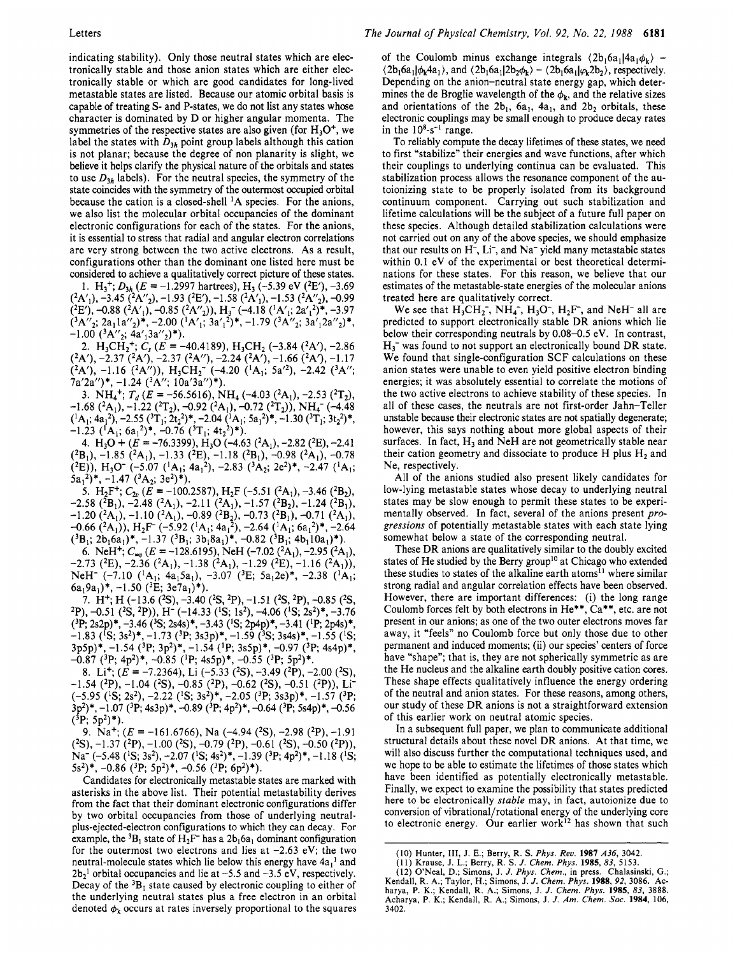indicating stability). Only those neutral states which are electronically stable and those anion states which are either electronically stable or which are good candidates for long-lived metastable states are listed. Because our atomic orbital basis is capable of treating S- and P-states, we do not list any states whose character is dominated by D or higher angular momenta. The symmetries of the respective states are also given (for  $H_3O^+$ , we label the states with  $D_{3h}$  point group labels although this cation is not planar; because the degree of non planarity is slight, we believe it helps clarify the physical nature of the orbitals and states to use  $D_{3h}$  labels). For the neutral species, the symmetry of the state coincides with the symmetry of the outermost occupied orbital because the cation is a closed-shell 'A species. For the anions, we also list the molecular orbital occupancies of the dominant electronic configurations for each of the states. For the anions, it is essential to stress that radial and angular electron correlations are very strong between the two active electrons. As a result, configurations other than the dominant one listed here must be considered to achieve a qualitatively correct picture of these states.

1. H<sub>3</sub><sup>+</sup>;  $D_{3h}$  (*E* = -1.2997 hartrees), H<sub>3</sub> (-5.39 eV (<sup>2</sup>E'), -3.69  $(2E')$ , -0.88  $(2A'_1)$ , -0.85  $(2A''_2)$ ),  $H_3$ <sup>-</sup> (-4.18  $(1A'_1; 2a'_1{}^2)^*$ , -3.97  $({}^3A''_2; 2a_1 1a''_2)^*$ , -2.00  $({}^1A'_1; 3a'_1{}^2)^*$ , -1.79  $({}^3A''_2; 3a'_1 2a''_2)^*$ ,  $-1.00$   $(^3$ A''<sub>2</sub>;  $4a'$ <sub>1</sub>3a''<sub>2</sub>)\*),  $(^{2}A'_{1}), -3.45$  $(^{2}A''_{2}), -1.93$  $(^{2}E'), -1.58$  $(^{2}A'_{1}), -1.53$  $(^{2}A''_{2}), -0.99$ 

2. H<sub>3</sub>CH<sub>2</sub><sup>+</sup>;  $C_s$  ( $E = -40.4189$ ), H<sub>3</sub>CH<sub>2</sub> (-3.84 (<sup>2</sup>A'), -2.86  $(^{2}A')$ ,  $-2.37$  $(^{2}A')$ ,  $-2.37$  $(^{2}A'')$ ,  $-2.24$  $(^{2}A')$ ,  $-1.66$  $(^{2}A')$ ,  $-1.17$  $(^{2}A'), -1.16$   $(^{2}A''), H_{3}CH_{2}^{-}$   $(-4.20$   $(^{1}A_{1}; 5a'^{2}), -2.42$   $(^{3}A'';$ 7a'2a'')\*, -1.24 (<sup>3</sup>A''; 10a'3a'')\*).

3.  $NH_4^+$ ;  $T_d$  ( $E = -56.5616$ ),  $NH_4$  (-4.03 (<sup>2</sup>A<sub>1</sub>), -2.53 (<sup>2</sup>T<sub>2</sub>), -1.68 (<sup>2</sup>A<sub>1</sub>), -1.22 (<sup>2</sup>T<sub>2</sub>), -0.92 (<sup>2</sup>A<sub>1</sub>), -0.72 (<sup>2</sup>T<sub>2</sub>)), NH<sub>4</sub><sup>-</sup> (-4.48  $({}^{1}A_{1}; 4a_{1}^{2}), -2.55$   $({}^{3}T_{1}; 2t_{2}^{2})*, -2.04$   $({}^{1}A_{1}; 5a_{1}^{2})*, -1.30$   $({}^{3}T_{1}; 3t_{2}^{2})*,$  $-1.23$  ( ${}^{1}\text{A}_{1}$ ; 6a<sub>1</sub><sup>2</sup>)\*, -0.76 ( ${}^{3}\text{T}_{1}$ ; 4t<sub>2</sub><sup>2</sup>)\*).

4. H<sub>3</sub>O +  $(E = -76.3399)$ , H<sub>3</sub>O (-4.63 (<sup>2</sup>A<sub>1</sub>), -2.82 (<sup>2</sup>E), -2.41  $(^{2}B_{1}), -1.85$   $(^{2}A_{1}), -1.33$   $(^{2}E), -1.18$   $(^{2}B_{1}), -0.98$   $(^{2}A_{1}), -0.78$  $(2E)$ , H<sub>3</sub>O<sup>-</sup> (-5.07 (<sup>1</sup>A<sub>1</sub>; 4a<sub>1</sub><sup>2</sup>), -2.83 (<sup>3</sup>A<sub>2</sub>; 2e<sup>2</sup>)\*, -2.47 (<sup>1</sup>A<sub>1</sub>;  $5a_1^2$ , -1.47  $(^3A_2; 3e^2)$ \*).

5. H<sub>2</sub>F<sup>+</sup>;  $C_{2v}$  (*E* = -100.2587), H<sub>2</sub>F (-5.51 (<sup>2</sup>A<sub>1</sub>), -3.46 (<sup>2</sup>B<sub>2</sub>),  $-2.58$  (<sup>2</sup>B<sub>1</sub>),  $-2.48$  (<sup>2</sup>A<sub>1</sub>),  $-2.11$  (<sup>2</sup>A<sub>1</sub>),  $-1.57$  (<sup>2</sup>B<sub>2</sub>),  $-1.24$  (<sup>2</sup>B<sub>1</sub>),  $-1.20$  (<sup>2</sup>A<sub>1</sub>),  $-1.10$  (<sup>2</sup>A<sub>1</sub>),  $-0.89$  (<sup>2</sup>B<sub>2</sub>),  $-0.73$  (<sup>2</sup>B<sub>1</sub>),  $-0.71$  (<sup>2</sup>A<sub>1</sub>),  $-0.66$  (<sup>2</sup>A<sub>1</sub>)), H<sub>2</sub>F<sup>-</sup> (-5.92 (<sup>1</sup>A<sub>1</sub>; 4a<sub>1</sub><sup>2</sup>), -2.64 (<sup>1</sup>A<sub>1</sub>; 6a<sub>1</sub><sup>2</sup>)\*, -2.64  $({}^{3}B_{1}; 2b_{1}6a_{1})^*$ , -1.37  $({}^{3}B_{1}; 3b_{1}8a_{1})^*$ , -0.82  $({}^{3}B_{1}; 4b_{1}10a_{1})^*$ ).

6. NeH<sup>+</sup>;  $C_{\infty}$  ( $E = -128.6195$ ), NeH (-7.02 (<sup>2</sup>A<sub>1</sub>), -2.95 (<sup>2</sup>A<sub>1</sub>), NeH<sup>-</sup> (-7.10 (<sup>1</sup>A<sub>1</sub>; 4a<sub>1</sub>5a<sub>1</sub>), -3.07 (<sup>3</sup>E; 5a<sub>1</sub>2e)\*, -2.38 (<sup>1</sup>A<sub>1</sub>)  $6a_19a_1$ <sup>\*</sup>,  $-1.50$  (<sup>3</sup>E; 3e7a<sub>1</sub>)<sup>\*</sup>).  $-2.73$  (<sup>2</sup>E),  $-2.36$  (<sup>2</sup>A<sub>1</sub>),  $-1.38$  (<sup>2</sup>A<sub>1</sub>),  $-1.29$  (<sup>2</sup>E),  $-1.16$  (<sup>2</sup>A<sub>1</sub>)),

7. H<sup>+</sup>; H (-13.6 (<sup>2</sup>S), -3.40 (<sup>2</sup>S, <sup>2</sup>P), -1.51 (<sup>2</sup>S, <sup>2</sup>P), -0.85 (<sup>2</sup>S,  $^{2}P$ ), -0.51 ( $^{2}S$ ,  $^{2}P$ )), H<sup>-</sup> (-14.33 ( $^{1}S$ ; 1s<sup>2</sup>), -4.06 ( $^{1}S$ ; 2s<sup>2</sup>)\*, -3.76 **(3P** 2~2p)\*, -3.46 **(3S;** 2~4~)\*, -3.43 (IS; 2p4p)\*, -3.41 **('P** 2p4~)\*,  $-1.83$  (<sup>1</sup>S; 3s<sup>2</sup>)\*,  $-1.73$  (<sup>3</sup>P; 3s3p)\*,  $-1.59$  (<sup>3</sup>S; 3s4s)\*,  $-1.55$  (<sup>1</sup>S;  $(3p5p)^*$ ,  $-1.54$   $(3P; 3p^2)^*$ ,  $-1.54$   $(1P; 3s5p)^*$ ,  $-0.97$   $(3P; 4s4p)^*$ ,  $-0.87$  (<sup>3</sup>P; 4p<sup>2</sup>)\*,  $-0.85$  (<sup>1</sup>P; 4s5p)\*,  $-0.55$  (<sup>3</sup>P; 5p<sup>2</sup>)\*.

8. Li<sup>+</sup>;  $(E = -7.2364)$ , Li  $(-5.33 \text{ (^2S)}, -3.49 \text{ (^2P)}, -2.00 \text{ (^2S)})$  $-1.54$  (<sup>2</sup>P),  $-1.04$  (<sup>2</sup>S),  $-0.85$  (<sup>2</sup>P),  $-0.62$  (<sup>2</sup>S),  $-0.51$  (<sup>2</sup>P)), Li  $(-5.95 \; (^{1}S; 2s^{2}), -2.22 \; (^{1}S; 3s^{2})*, -2.05 \; (^{3}P; 3s3p)^*, -1.57 \; (^{3}P;$ 3p<sup>2</sup>)\*, -1.07 (<sup>3</sup>P; 4s3p)\*, -0.89 (<sup>3</sup>P; 4p<sup>2</sup>)\*, -0.64 (<sup>3</sup>P; 5s4p)\*, -0.56  $(^3P; 5p^2)^*$ ).

9. Na<sup>+</sup>;  $(E = -161.6766)$ , Na  $(-4.94$   $(^{2}S)$ ,  $-2.98$   $(^{2}P)$ ,  $-1.91$ Na<sup>-</sup> (-5.48 (<sup>1</sup>S; 3s<sup>2</sup>), -2.07 (<sup>1</sup>S; 4s<sup>2</sup>)<sup>\*</sup>, -1.39 (<sup>3</sup>P; 4p<sup>2</sup>)<sup>\*</sup>, -1.18 (<sup>1</sup>S;  $(^{2}S)$ ,  $-1.37$   $(^{2}P)$ ,  $-1.00$   $(^{2}S)$ ,  $-0.79$   $(^{2}P)$ ,  $-0.61$   $(^{2}S)$ ,  $-0.50$   $(^{2}P)$ ),  $5s^2$ <sup>\*</sup>, -0.86 (<sup>3</sup>P; 5p<sup>2</sup>)<sup>\*</sup>, -0.56 (<sup>3</sup>P; 6p<sup>2</sup>)<sup>\*</sup>).

Candidates for electronically metastable states are marked with asterisks in the above list. Their potential metastability derives from the fact that their dominant electronic configurations differ by two orbital occupancies from those of underlying neutralplus-ejected-electron configurations to which they can decay. For example, the <sup>3</sup>B<sub>1</sub> state of H<sub>2</sub>F<sup>-</sup> has a  $2b_1 6a_1$  dominant configuration for the outermost two electrons and lies at  $-2.63$  eV; the two neutral-molecule states which lie below this energy have  $4a_1^1$  and  $2b_2$ <sup>1</sup> orbital occupancies and lie at  $-5.5$  and  $-3.5$  eV, respectively. Decay of the  ${}^{3}B_1$  state caused by electronic coupling to either of the underlying neutral states plus a free electron in an orbital denoted  $\phi_k$  occurs at rates inversely proportional to the squares of the Coulomb minus exchange integrals  $(2b_16a_1)4a_1\phi_k$  - $(2b_16a_1)\phi_k4a_1$ , and  $(2b_16a_1|2b_2\phi_k) - (2b_16a_1|\phi_12b_2)$ , respectively. Depending on the anion-neutral state energy gap, which determines the de Broglie wavelength of the  $\phi_k$ , and the relative sizes and orientations of the  $2b_1$ ,  $6a_1$ ,  $4a_1$ , and  $2b_2$  orbitals, these electronic couplings may be small enough to produce decay rates in the  $10<sup>8</sup>$ -s<sup>-1</sup> range.

To reliably compute the decay lifetimes of these states, we need to first "stabilize" their energies and wave functions, after which their couplings to underlying continua can be evaluated. This stabilization process allows the resonance component of the autoionizing state to be properly isolated from its background continuum component. Carrying out such stabilization and lifetime calculations will be the subject of a future full paper on these species. Although detailed stabilization calculations were not carried out on any of the above species, we should emphasize that our results on H<sup>-</sup>, Li<sup>-</sup>, and Na<sup>-</sup> yield many metastable states within 0.1 eV of the experimental or best theoretical determinations for these states. For this reason, we believe that our estimates of the metastable-state energies of the molecular anions treated here are qualitatively correct.

We see that  $H_3CH_2^-$ , NH<sub>4</sub>-, H<sub>3</sub>O<sup>-</sup>, H<sub>2</sub>F<sup>-</sup>, and NeH<sup>-</sup> all are predicted to support electronically stable DR anions which lie below their corresponding neutrals by 0.08-0.5 eV. In contrast,  $H_3$ <sup>-</sup> was found to not support an electronically bound DR state. We found that single-configuration SCF calculations on these anion states were unable to even yield positive electron binding energies; it was absolutely essential to correlate the motions of the two active electrons to achieve stability of these species. In all of these cases, the neutrals are not first-order Jahn-Teller unstable because their electronic states are not spatially degenerate; however, this says nothing about more global aspects of their surfaces. In fact,  $H_3$  and NeH are not geometrically stable near their cation geometry and dissociate to produce  $H_1$  plus  $H_2$  and Ne, respectively.

All of the anions studied also present likely candidates for low-lying metastable states whose decay to underlying neutral states may be slow enough to permit these states to be experimentally observed. In fact, several of the anions present *progressions* of potentially metastable states with each state lying somewhat below a state of the corresponding neutral.

These DR anions are qualitatively similar to the doubly excited states of He studied by the Berry group<sup>10</sup> at Chicago who extended these studies to states of the alkaline earth atoms<sup>11</sup> where similar strong radial and angular correlation effects have been observed. However, there are important differences: (i) the long range Coulomb forces felt by both electrons in He\*\*, Ca\*\*, etc. are not present in our anions; as one of the two outer electrons moves far away, it "feels" no Coulomb force but only those due to other permanent and induced moments; (ii) our species' centers of force have "shape"; that is, they are not spherically symmetric as are the He nucleus and the alkaline earth doubly positive cation cores. These shape effects qualitatively influence the energy ordering of the neutral and anion states. For these reasons, among others, our study of these DR anions is not a straightforward extension of this earlier work on neutral atomic species.

In a subsequent full paper, we plan to communicate additional structural details about these novel DR anions. At that time, we will also discuss further the computational techniques used, and we hope to be able to estimate the lifetimes of those states which have been identified as potentially electronically metastable. Finally, we expect to examine the possibility that states predicted here to be electronically *stable* may, in fact, autoionize due to conversion of vibrational/rotational energy of the underlying core to electronic energy. Our earlier work<sup>12</sup> has shown that such

**<sup>(10)</sup> Hunter, 111, J. E.; Berry,** R. S. *Phys. Reu.* **1987** *,436,* **3042. (11) Krause, J. L.; Berry, R. S.** *J. Chem. Phys.* **1985,** *83,* **5153.** 

<sup>(12)</sup> O'Neal, D.; Simons, J. J. Phys. Chem., in press. Chalasinski, G.; Kendall, R. A.; Taylor, H.; Simons, J. J. Chem. Phys. 1988, 92, 3086. Acharya, P. K.; Kendall, R. A.; Simons, J. J. Chem. Phys. 1985, 83, 3888. **Acharya, P. K.; Kendall,** R. **A,; Simons, J.** *J. Am. Chem. SOC.* **1984, 106, 3402.**